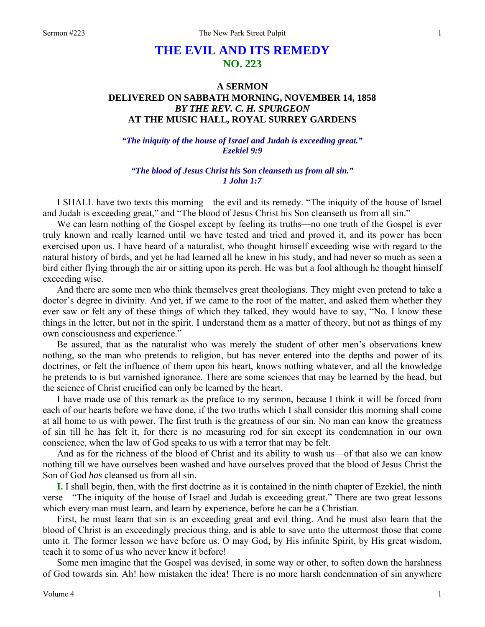# **THE EVIL AND ITS REMEDY NO. 223**

## **A SERMON DELIVERED ON SABBATH MORNING, NOVEMBER 14, 1858**  *BY THE REV. C. H. SPURGEON*  **AT THE MUSIC HALL, ROYAL SURREY GARDENS**

*"The iniquity of the house of Israel and Judah is exceeding great." Ezekiel 9:9* 

*"The blood of Jesus Christ his Son cleanseth us from all sin." 1 John 1:7* 

I SHALL have two texts this morning—the evil and its remedy. "The iniquity of the house of Israel and Judah is exceeding great," and "The blood of Jesus Christ his Son cleanseth us from all sin."

We can learn nothing of the Gospel except by feeling its truths—no one truth of the Gospel is ever truly known and really learned until we have tested and tried and proved it, and its power has been exercised upon us. I have heard of a naturalist, who thought himself exceeding wise with regard to the natural history of birds, and yet he had learned all he knew in his study, and had never so much as seen a bird either flying through the air or sitting upon its perch. He was but a fool although he thought himself exceeding wise.

And there are some men who think themselves great theologians. They might even pretend to take a doctor's degree in divinity. And yet, if we came to the root of the matter, and asked them whether they ever saw or felt any of these things of which they talked, they would have to say, "No. I know these things in the letter, but not in the spirit. I understand them as a matter of theory, but not as things of my own consciousness and experience."

Be assured, that as the naturalist who was merely the student of other men's observations knew nothing, so the man who pretends to religion, but has never entered into the depths and power of its doctrines, or felt the influence of them upon his heart, knows nothing whatever, and all the knowledge he pretends to is but varnished ignorance. There are some sciences that may be learned by the head, but the science of Christ crucified can only be learned by the heart.

I have made use of this remark as the preface to my sermon, because I think it will be forced from each of our hearts before we have done, if the two truths which I shall consider this morning shall come at all home to us with power. The first truth is the greatness of our sin. No man can know the greatness of sin till he has felt it, for there is no measuring rod for sin except its condemnation in our own conscience, when the law of God speaks to us with a terror that may be felt.

And as for the richness of the blood of Christ and its ability to wash us—of that also we can know nothing till we have ourselves been washed and have ourselves proved that the blood of Jesus Christ the Son of God *has* cleansed us from all sin.

**I.** I shall begin, then, with the first doctrine as it is contained in the ninth chapter of Ezekiel, the ninth verse—"The iniquity of the house of Israel and Judah is exceeding great." There are two great lessons which every man must learn, and learn by experience, before he can be a Christian.

First, he must learn that sin is an exceeding great and evil thing. And he must also learn that the blood of Christ is an exceedingly precious thing, and is able to save unto the uttermost those that come unto it. The former lesson we have before us. O may God, by His infinite Spirit, by His great wisdom, teach it to some of us who never knew it before!

Some men imagine that the Gospel was devised, in some way or other, to soften down the harshness of God towards sin. Ah! how mistaken the idea! There is no more harsh condemnation of sin anywhere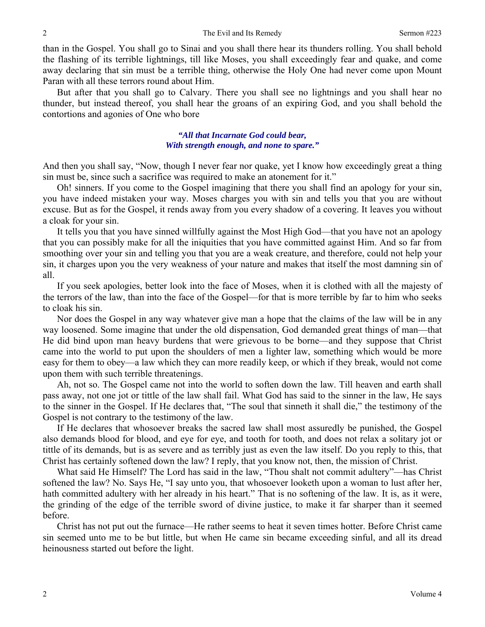than in the Gospel. You shall go to Sinai and you shall there hear its thunders rolling. You shall behold the flashing of its terrible lightnings, till like Moses, you shall exceedingly fear and quake, and come away declaring that sin must be a terrible thing, otherwise the Holy One had never come upon Mount Paran with all these terrors round about Him.

But after that you shall go to Calvary. There you shall see no lightnings and you shall hear no thunder, but instead thereof, you shall hear the groans of an expiring God, and you shall behold the contortions and agonies of One who bore

### *"All that Incarnate God could bear, With strength enough, and none to spare."*

And then you shall say, "Now, though I never fear nor quake, yet I know how exceedingly great a thing sin must be, since such a sacrifice was required to make an atonement for it."

Oh! sinners. If you come to the Gospel imagining that there you shall find an apology for your sin, you have indeed mistaken your way. Moses charges you with sin and tells you that you are without excuse. But as for the Gospel, it rends away from you every shadow of a covering. It leaves you without a cloak for your sin.

It tells you that you have sinned willfully against the Most High God—that you have not an apology that you can possibly make for all the iniquities that you have committed against Him. And so far from smoothing over your sin and telling you that you are a weak creature, and therefore, could not help your sin, it charges upon you the very weakness of your nature and makes that itself the most damning sin of all.

If you seek apologies, better look into the face of Moses, when it is clothed with all the majesty of the terrors of the law, than into the face of the Gospel—for that is more terrible by far to him who seeks to cloak his sin.

Nor does the Gospel in any way whatever give man a hope that the claims of the law will be in any way loosened. Some imagine that under the old dispensation, God demanded great things of man—that He did bind upon man heavy burdens that were grievous to be borne—and they suppose that Christ came into the world to put upon the shoulders of men a lighter law, something which would be more easy for them to obey—a law which they can more readily keep, or which if they break, would not come upon them with such terrible threatenings.

Ah, not so. The Gospel came not into the world to soften down the law. Till heaven and earth shall pass away, not one jot or tittle of the law shall fail. What God has said to the sinner in the law, He says to the sinner in the Gospel. If He declares that, "The soul that sinneth it shall die," the testimony of the Gospel is not contrary to the testimony of the law.

If He declares that whosoever breaks the sacred law shall most assuredly be punished, the Gospel also demands blood for blood, and eye for eye, and tooth for tooth, and does not relax a solitary jot or tittle of its demands, but is as severe and as terribly just as even the law itself. Do you reply to this, that Christ has certainly softened down the law? I reply, that you know not, then, the mission of Christ.

What said He Himself? The Lord has said in the law, "Thou shalt not commit adultery"—has Christ softened the law? No. Says He, "I say unto you, that whosoever looketh upon a woman to lust after her, hath committed adultery with her already in his heart." That is no softening of the law. It is, as it were, the grinding of the edge of the terrible sword of divine justice, to make it far sharper than it seemed before.

Christ has not put out the furnace—He rather seems to heat it seven times hotter. Before Christ came sin seemed unto me to be but little, but when He came sin became exceeding sinful, and all its dread heinousness started out before the light.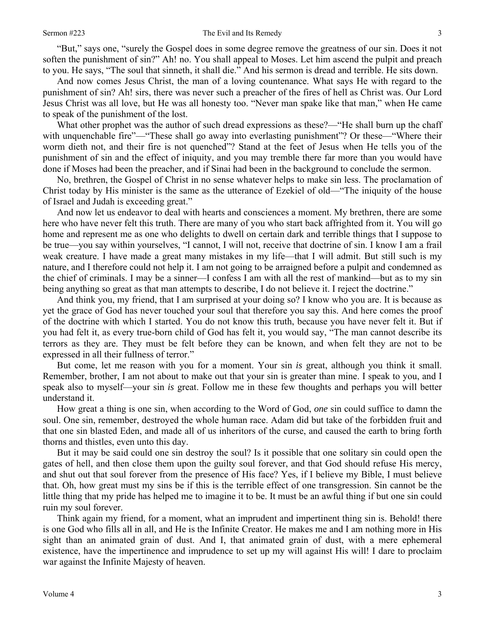"But," says one, "surely the Gospel does in some degree remove the greatness of our sin. Does it not soften the punishment of sin?" Ah! no. You shall appeal to Moses. Let him ascend the pulpit and preach to you. He says, "The soul that sinneth, it shall die." And his sermon is dread and terrible. He sits down.

And now comes Jesus Christ, the man of a loving countenance. What says He with regard to the punishment of sin? Ah! sirs, there was never such a preacher of the fires of hell as Christ was. Our Lord Jesus Christ was all love, but He was all honesty too. "Never man spake like that man," when He came to speak of the punishment of the lost.

What other prophet was the author of such dread expressions as these?—"He shall burn up the chaff with unquenchable fire"—"These shall go away into everlasting punishment"? Or these—"Where their worm dieth not, and their fire is not quenched"? Stand at the feet of Jesus when He tells you of the punishment of sin and the effect of iniquity, and you may tremble there far more than you would have done if Moses had been the preacher, and if Sinai had been in the background to conclude the sermon.

No, brethren, the Gospel of Christ in no sense whatever helps to make sin less. The proclamation of Christ today by His minister is the same as the utterance of Ezekiel of old—"The iniquity of the house of Israel and Judah is exceeding great."

And now let us endeavor to deal with hearts and consciences a moment. My brethren, there are some here who have never felt this truth. There are many of you who start back affrighted from it. You will go home and represent me as one who delights to dwell on certain dark and terrible things that I suppose to be true—you say within yourselves, "I cannot, I will not, receive that doctrine of sin. I know I am a frail weak creature. I have made a great many mistakes in my life—that I will admit. But still such is my nature, and I therefore could not help it. I am not going to be arraigned before a pulpit and condemned as the chief of criminals. I may be a sinner—I confess I am with all the rest of mankind—but as to my sin being anything so great as that man attempts to describe, I do not believe it. I reject the doctrine."

And think you, my friend, that I am surprised at your doing so? I know who you are. It is because as yet the grace of God has never touched your soul that therefore you say this. And here comes the proof of the doctrine with which I started. You do not know this truth, because you have never felt it. But if you had felt it, as every true-born child of God has felt it, you would say, "The man cannot describe its terrors as they are. They must be felt before they can be known, and when felt they are not to be expressed in all their fullness of terror."

But come, let me reason with you for a moment. Your sin *is* great, although you think it small. Remember, brother, I am not about to make out that your sin is greater than mine. I speak to you, and I speak also to myself—your sin *is* great. Follow me in these few thoughts and perhaps you will better understand it.

How great a thing is one sin, when according to the Word of God, *one* sin could suffice to damn the soul. One sin, remember, destroyed the whole human race. Adam did but take of the forbidden fruit and that one sin blasted Eden, and made all of us inheritors of the curse, and caused the earth to bring forth thorns and thistles, even unto this day.

But it may be said could one sin destroy the soul? Is it possible that one solitary sin could open the gates of hell, and then close them upon the guilty soul forever, and that God should refuse His mercy, and shut out that soul forever from the presence of His face? Yes, if I believe my Bible, I must believe that. Oh, how great must my sins be if this is the terrible effect of one transgression. Sin cannot be the little thing that my pride has helped me to imagine it to be. It must be an awful thing if but one sin could ruin my soul forever.

Think again my friend, for a moment, what an imprudent and impertinent thing sin is. Behold! there is one God who fills all in all, and He is the Infinite Creator. He makes me and I am nothing more in His sight than an animated grain of dust. And I, that animated grain of dust, with a mere ephemeral existence, have the impertinence and imprudence to set up my will against His will! I dare to proclaim war against the Infinite Majesty of heaven.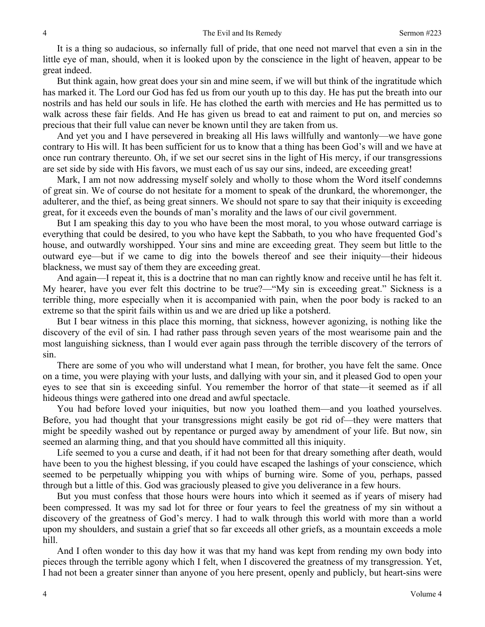It is a thing so audacious, so infernally full of pride, that one need not marvel that even a sin in the little eye of man, should, when it is looked upon by the conscience in the light of heaven, appear to be great indeed.

But think again, how great does your sin and mine seem, if we will but think of the ingratitude which has marked it. The Lord our God has fed us from our youth up to this day. He has put the breath into our nostrils and has held our souls in life. He has clothed the earth with mercies and He has permitted us to walk across these fair fields. And He has given us bread to eat and raiment to put on, and mercies so precious that their full value can never be known until they are taken from us.

And yet you and I have persevered in breaking all His laws willfully and wantonly—we have gone contrary to His will. It has been sufficient for us to know that a thing has been God's will and we have at once run contrary thereunto. Oh, if we set our secret sins in the light of His mercy, if our transgressions are set side by side with His favors, we must each of us say our sins, indeed, are exceeding great!

Mark, I am not now addressing myself solely and wholly to those whom the Word itself condemns of great sin. We of course do not hesitate for a moment to speak of the drunkard, the whoremonger, the adulterer, and the thief, as being great sinners. We should not spare to say that their iniquity is exceeding great, for it exceeds even the bounds of man's morality and the laws of our civil government.

But I am speaking this day to you who have been the most moral, to you whose outward carriage is everything that could be desired, to you who have kept the Sabbath, to you who have frequented God's house, and outwardly worshipped. Your sins and mine are exceeding great. They seem but little to the outward eye—but if we came to dig into the bowels thereof and see their iniquity—their hideous blackness, we must say of them they are exceeding great.

And again—I repeat it, this is a doctrine that no man can rightly know and receive until he has felt it. My hearer, have you ever felt this doctrine to be true?—"My sin is exceeding great." Sickness is a terrible thing, more especially when it is accompanied with pain, when the poor body is racked to an extreme so that the spirit fails within us and we are dried up like a potsherd.

But I bear witness in this place this morning, that sickness, however agonizing, is nothing like the discovery of the evil of sin*.* I had rather pass through seven years of the most wearisome pain and the most languishing sickness, than I would ever again pass through the terrible discovery of the terrors of sin.

There are some of you who will understand what I mean, for brother, you have felt the same. Once on a time, you were playing with your lusts, and dallying with your sin, and it pleased God to open your eyes to see that sin is exceeding sinful. You remember the horror of that state—it seemed as if all hideous things were gathered into one dread and awful spectacle.

You had before loved your iniquities, but now you loathed them—and you loathed yourselves. Before, you had thought that your transgressions might easily be got rid of—they were matters that might be speedily washed out by repentance or purged away by amendment of your life. But now, sin seemed an alarming thing, and that you should have committed all this iniquity.

Life seemed to you a curse and death, if it had not been for that dreary something after death, would have been to you the highest blessing, if you could have escaped the lashings of your conscience, which seemed to be perpetually whipping you with whips of burning wire. Some of you, perhaps, passed through but a little of this. God was graciously pleased to give you deliverance in a few hours.

But you must confess that those hours were hours into which it seemed as if years of misery had been compressed. It was my sad lot for three or four years to feel the greatness of my sin without a discovery of the greatness of God's mercy. I had to walk through this world with more than a world upon my shoulders, and sustain a grief that so far exceeds all other griefs, as a mountain exceeds a mole hill.

And I often wonder to this day how it was that my hand was kept from rending my own body into pieces through the terrible agony which I felt, when I discovered the greatness of my transgression. Yet, I had not been a greater sinner than anyone of you here present, openly and publicly, but heart-sins were

4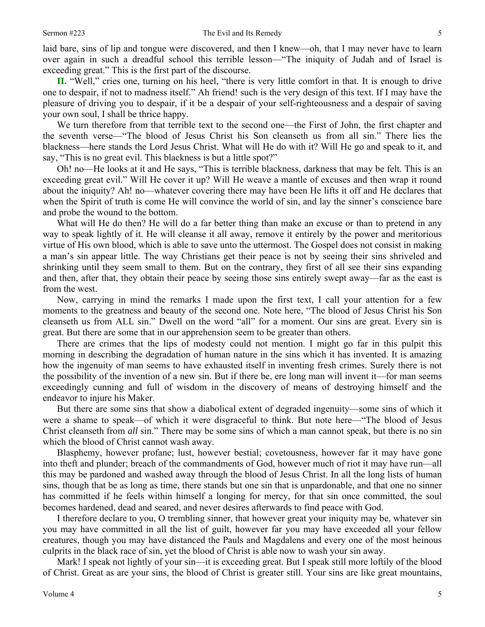laid bare, sins of lip and tongue were discovered, and then I knew—oh, that I may never have to learn over again in such a dreadful school this terrible lesson—"The iniquity of Judah and of Israel is exceeding great." This is the first part of the discourse.

**II.** "Well," cries one, turning on his heel, "there is very little comfort in that. It is enough to drive one to despair, if not to madness itself." Ah friend! such is the very design of this text. If I may have the pleasure of driving you to despair, if it be a despair of your self-righteousness and a despair of saving your own soul, I shall be thrice happy.

We turn therefore from that terrible text to the second one—the First of John, the first chapter and the seventh verse—"The blood of Jesus Christ his Son cleanseth us from all sin." There lies the blackness—here stands the Lord Jesus Christ. What will He do with it? Will He go and speak to it, and say, "This is no great evil. This blackness is but a little spot?"

Oh! no—He looks at it and He says, "This is terrible blackness, darkness that may be felt. This is an exceeding great evil." Will He cover it up? Will He weave a mantle of excuses and then wrap it round about the iniquity? Ah! no—whatever covering there may have been He lifts it off and He declares that when the Spirit of truth is come He will convince the world of sin, and lay the sinner's conscience bare and probe the wound to the bottom.

What will He do then? He will do a far better thing than make an excuse or than to pretend in any way to speak lightly of it. He will cleanse it all away, remove it entirely by the power and meritorious virtue of His own blood, which is able to save unto the uttermost. The Gospel does not consist in making a man's sin appear little. The way Christians get their peace is not by seeing their sins shriveled and shrinking until they seem small to them. But on the contrary, they first of all see their sins expanding and then, after that, they obtain their peace by seeing those sins entirely swept away—far as the east is from the west.

Now, carrying in mind the remarks I made upon the first text, I call your attention for a few moments to the greatness and beauty of the second one. Note here, "The blood of Jesus Christ his Son cleanseth us from ALL sin." Dwell on the word "all" for a moment. Our sins are great. Every sin is great. But there are some that in our apprehension seem to be greater than others.

There are crimes that the lips of modesty could not mention. I might go far in this pulpit this morning in describing the degradation of human nature in the sins which it has invented. It is amazing how the ingenuity of man seems to have exhausted itself in inventing fresh crimes. Surely there is not the possibility of the invention of a new sin. But if there be, ere long man will invent it—for man seems exceedingly cunning and full of wisdom in the discovery of means of destroying himself and the endeavor to injure his Maker.

But there are some sins that show a diabolical extent of degraded ingenuity—some sins of which it were a shame to speak—of which it were disgraceful to think. But note here—"The blood of Jesus Christ cleanseth from *all* sin." There may be some sins of which a man cannot speak, but there is no sin which the blood of Christ cannot wash away.

Blasphemy, however profane; lust, however bestial; covetousness, however far it may have gone into theft and plunder; breach of the commandments of God, however much of riot it may have run—all this may be pardoned and washed away through the blood of Jesus Christ. In all the long lists of human sins, though that be as long as time, there stands but one sin that is unpardonable, and that one no sinner has committed if he feels within himself a longing for mercy, for that sin once committed, the soul becomes hardened, dead and seared, and never desires afterwards to find peace with God.

I therefore declare to you, O trembling sinner, that however great your iniquity may be, whatever sin you may have committed in all the list of guilt, however far you may have exceeded all your fellow creatures, though you may have distanced the Pauls and Magdalens and every one of the most heinous culprits in the black race of sin, yet the blood of Christ is able now to wash your sin away.

Mark! I speak not lightly of your sin—it is exceeding great. But I speak still more loftily of the blood of Christ. Great as are your sins, the blood of Christ is greater still. Your sins are like great mountains,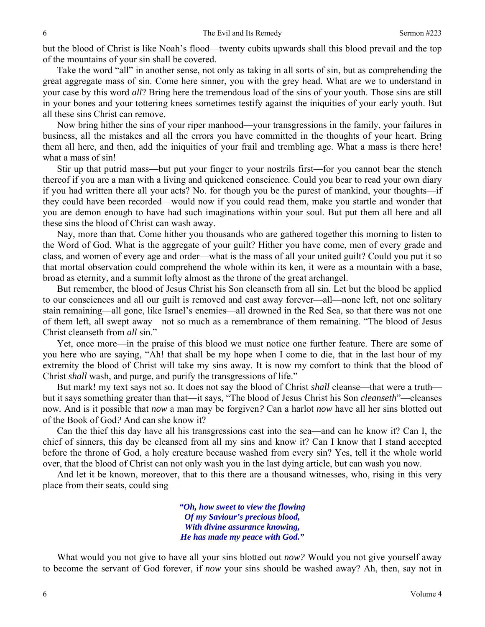but the blood of Christ is like Noah's flood—twenty cubits upwards shall this blood prevail and the top of the mountains of your sin shall be covered.

Take the word "all" in another sense, not only as taking in all sorts of sin, but as comprehending the great aggregate mass of sin. Come here sinner, you with the grey head. What are we to understand in your case by this word *all*? Bring here the tremendous load of the sins of your youth. Those sins are still in your bones and your tottering knees sometimes testify against the iniquities of your early youth. But all these sins Christ can remove.

Now bring hither the sins of your riper manhood—your transgressions in the family, your failures in business, all the mistakes and all the errors you have committed in the thoughts of your heart. Bring them all here, and then, add the iniquities of your frail and trembling age. What a mass is there here! what a mass of sin!

Stir up that putrid mass—but put your finger to your nostrils first—for you cannot bear the stench thereof if you are a man with a living and quickened conscience. Could you bear to read your own diary if you had written there all your acts? No. for though you be the purest of mankind, your thoughts—if they could have been recorded—would now if you could read them, make you startle and wonder that you are demon enough to have had such imaginations within your soul. But put them all here and all these sins the blood of Christ can wash away.

Nay, more than that. Come hither you thousands who are gathered together this morning to listen to the Word of God. What is the aggregate of your guilt? Hither you have come, men of every grade and class, and women of every age and order—what is the mass of all your united guilt? Could you put it so that mortal observation could comprehend the whole within its ken, it were as a mountain with a base, broad as eternity, and a summit lofty almost as the throne of the great archangel.

But remember, the blood of Jesus Christ his Son cleanseth from all sin. Let but the blood be applied to our consciences and all our guilt is removed and cast away forever—all—none left, not one solitary stain remaining—all gone, like Israel's enemies—all drowned in the Red Sea, so that there was not one of them left, all swept away—not so much as a remembrance of them remaining. "The blood of Jesus Christ cleanseth from *all* sin."

Yet, once more—in the praise of this blood we must notice one further feature. There are some of you here who are saying, "Ah! that shall be my hope when I come to die, that in the last hour of my extremity the blood of Christ will take my sins away. It is now my comfort to think that the blood of Christ *shall* wash, and purge, and purify the transgressions of life."

But mark! my text says not so. It does not say the blood of Christ *shall* cleanse—that were a truth but it says something greater than that—it says, "The blood of Jesus Christ his Son *cleanseth*"—cleanses now*.* And is it possible that *now* a man may be forgiven*?* Can a harlot *now* have all her sins blotted out of the Book of God*?* And can she know it?

Can the thief this day have all his transgressions cast into the sea—and can he know it? Can I, the chief of sinners, this day be cleansed from all my sins and know it? Can I know that I stand accepted before the throne of God, a holy creature because washed from every sin? Yes, tell it the whole world over, that the blood of Christ can not only wash you in the last dying article, but can wash you now.

And let it be known, moreover, that to this there are a thousand witnesses, who, rising in this very place from their seats, could sing—

> *"Oh, how sweet to view the flowing Of my Saviour's precious blood, With divine assurance knowing, He has made my peace with God."*

What would you not give to have all your sins blotted out *now?* Would you not give yourself away to become the servant of God forever, if *now* your sins should be washed away? Ah, then, say not in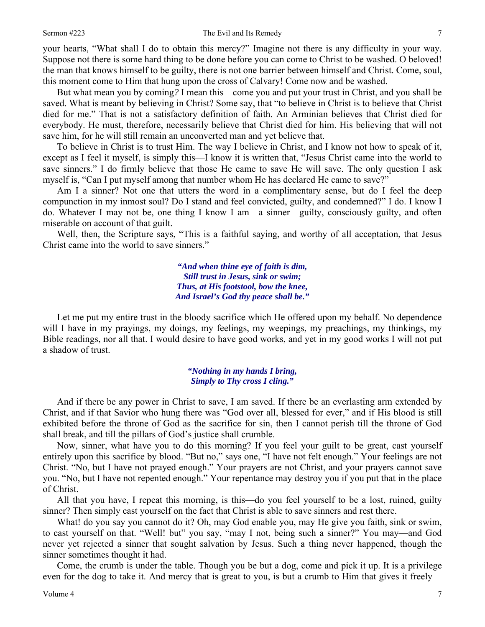#### Sermon #223 The Evil and Its Remedy

your hearts, "What shall I do to obtain this mercy?" Imagine not there is any difficulty in your way. Suppose not there is some hard thing to be done before you can come to Christ to be washed. O beloved! the man that knows himself to be guilty, there is not one barrier between himself and Christ. Come, soul, this moment come to Him that hung upon the cross of Calvary! Come now and be washed.

But what mean you by coming*?* I mean this—come you and put your trust in Christ, and you shall be saved. What is meant by believing in Christ? Some say, that "to believe in Christ is to believe that Christ died for me." That is not a satisfactory definition of faith. An Arminian believes that Christ died for everybody. He must, therefore, necessarily believe that Christ died for him. His believing that will not save him, for he will still remain an unconverted man and yet believe that.

To believe in Christ is to trust Him. The way I believe in Christ, and I know not how to speak of it, except as I feel it myself, is simply this—I know it is written that, "Jesus Christ came into the world to save sinners." I do firmly believe that those He came to save He will save. The only question I ask myself is, "Can I put myself among that number whom He has declared He came to save?"

Am I a sinner? Not one that utters the word in a complimentary sense, but do I feel the deep compunction in my inmost soul? Do I stand and feel convicted, guilty, and condemned?" I do. I know I do. Whatever I may not be, one thing I know I am—a sinner—guilty, consciously guilty, and often miserable on account of that guilt.

Well, then, the Scripture says, "This is a faithful saying, and worthy of all acceptation, that Jesus Christ came into the world to save sinners."

> *"And when thine eye of faith is dim, Still trust in Jesus, sink or swim; Thus, at His footstool, bow the knee, And Israel's God thy peace shall be."*

Let me put my entire trust in the bloody sacrifice which He offered upon my behalf. No dependence will I have in my prayings, my doings, my feelings, my weepings, my preachings, my thinkings, my Bible readings, nor all that. I would desire to have good works, and yet in my good works I will not put a shadow of trust.

#### *"Nothing in my hands I bring, Simply to Thy cross I cling."*

And if there be any power in Christ to save, I am saved. If there be an everlasting arm extended by Christ, and if that Savior who hung there was "God over all, blessed for ever," and if His blood is still exhibited before the throne of God as the sacrifice for sin, then I cannot perish till the throne of God shall break, and till the pillars of God's justice shall crumble.

Now, sinner, what have you to do this morning? If you feel your guilt to be great, cast yourself entirely upon this sacrifice by blood. "But no," says one, "I have not felt enough." Your feelings are not Christ. "No, but I have not prayed enough." Your prayers are not Christ, and your prayers cannot save you. "No, but I have not repented enough." Your repentance may destroy you if you put that in the place of Christ.

All that you have, I repeat this morning, is this—do you feel yourself to be a lost, ruined, guilty sinner? Then simply cast yourself on the fact that Christ is able to save sinners and rest there.

What! do you say you cannot do it? Oh, may God enable you, may He give you faith, sink or swim, to cast yourself on that. "Well! but" you say, "may I not, being such a sinner?" You may—and God never yet rejected a sinner that sought salvation by Jesus. Such a thing never happened, though the sinner sometimes thought it had.

Come, the crumb is under the table. Though you be but a dog, come and pick it up. It is a privilege even for the dog to take it. And mercy that is great to you, is but a crumb to Him that gives it freely